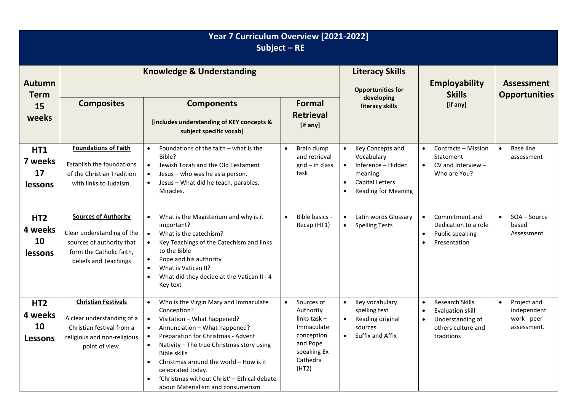| Year 7 Curriculum Overview [2021-2022]<br>Subject - RE |                                                                                                                                             |                                                                                                                                                                                                                                                                                                                                                                                                                                                    |                                                                                                                       |                                                                                                                                                   |                                                                                                                                     |                                                                       |  |
|--------------------------------------------------------|---------------------------------------------------------------------------------------------------------------------------------------------|----------------------------------------------------------------------------------------------------------------------------------------------------------------------------------------------------------------------------------------------------------------------------------------------------------------------------------------------------------------------------------------------------------------------------------------------------|-----------------------------------------------------------------------------------------------------------------------|---------------------------------------------------------------------------------------------------------------------------------------------------|-------------------------------------------------------------------------------------------------------------------------------------|-----------------------------------------------------------------------|--|
| <b>Autumn</b><br><b>Term</b>                           | <b>Knowledge &amp; Understanding</b>                                                                                                        |                                                                                                                                                                                                                                                                                                                                                                                                                                                    |                                                                                                                       | <b>Literacy Skills</b><br><b>Opportunities for</b><br>developing                                                                                  | <b>Employability</b><br><b>Skills</b>                                                                                               | <b>Assessment</b><br><b>Opportunities</b>                             |  |
| 15<br>weeks                                            | <b>Composites</b>                                                                                                                           | <b>Components</b><br>[includes understanding of KEY concepts &<br>subject specific vocab]                                                                                                                                                                                                                                                                                                                                                          | <b>Formal</b><br><b>Retrieval</b><br>[if any]                                                                         | literacy skills                                                                                                                                   | [if any]                                                                                                                            |                                                                       |  |
| <b>HT1</b><br>7 weeks<br>17<br>lessons                 | <b>Foundations of Faith</b><br><b>Establish the foundations</b><br>of the Christian Tradition<br>with links to Judaism.                     | Foundations of the faith - what is the<br>$\bullet$<br>Bible?<br>Jewish Torah and the Old Testament<br>Jesus - who was he as a person.<br>Jesus - What did he teach, parables,<br>$\bullet$<br>Miracles.                                                                                                                                                                                                                                           | Brain dump<br>and retrieval<br>$grid - in class$<br>task                                                              | Key Concepts and<br>$\bullet$<br>Vocabulary<br>Inference - Hidden<br>$\bullet$<br>meaning<br><b>Capital Letters</b><br><b>Reading for Meaning</b> | Contracts - Mission<br>$\bullet$<br>Statement<br>CV and Interview $-$<br>$\bullet$<br>Who are You?                                  | <b>Base line</b><br>$\bullet$<br>assessment                           |  |
| HT <sub>2</sub><br>4 weeks<br>10<br><b>lessons</b>     | <b>Sources of Authority</b><br>Clear understanding of the<br>sources of authority that<br>form the Catholic faith,<br>beliefs and Teachings | What is the Magisterium and why is it<br>$\bullet$<br>important?<br>What is the catechism?<br>$\bullet$<br>Key Teachings of the Catechism and links<br>to the Bible<br>Pope and his authority<br>What is Vatican II?<br>What did they decide at the Vatican II - 4<br>$\bullet$<br>Key text                                                                                                                                                        | Bible basics -<br>Recap (HT1)                                                                                         | Latin words Glossary<br><b>Spelling Tests</b><br>$\bullet$                                                                                        | Commitment and<br>$\bullet$<br>Dedication to a role<br>Public speaking<br>Presentation                                              | $SOA - Source$<br>$\bullet$<br>based<br>Assessment                    |  |
| HT <sub>2</sub><br>4 weeks<br>10<br><b>Lessons</b>     | <b>Christian Festivals</b><br>A clear understanding of a<br>Christian festival from a<br>religious and non-religious<br>point of view.      | Who is the Virgin Mary and Immaculate<br>$\bullet$<br>Conception?<br>Visitation - What happened?<br>$\bullet$<br>Annunciation - What happened?<br>$\bullet$<br>Preparation for Christmas - Advent<br>Nativity - The true Christmas story using<br><b>Bible skills</b><br>Christmas around the world - How is it<br>$\bullet$<br>celebrated today.<br>'Christmas without Christ' - Ethical debate<br>$\bullet$<br>about Materialism and consumerism | Sources of<br>Authority<br>links task $-$<br>Immaculate<br>conception<br>and Pope<br>speaking Ex<br>Cathedra<br>(HT2) | Key vocabulary<br>$\bullet$<br>spelling test<br>Reading original<br>sources<br>Suffix and Affix<br>$\bullet$                                      | <b>Research Skills</b><br>$\bullet$<br><b>Evaluation skill</b><br>Understanding of<br>$\bullet$<br>others culture and<br>traditions | Project and<br>$\bullet$<br>independent<br>work - peer<br>assessment. |  |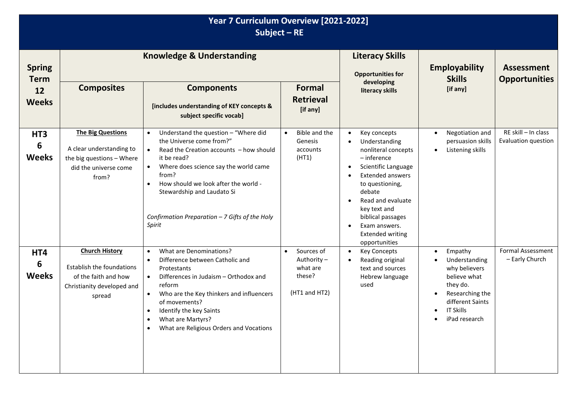| Year 7 Curriculum Overview [2021-2022]<br>Subject $-RE$ |                                                                                                                           |                                                                                                                                                                                                                                                                                                                                                                    |                                                                  |                                                                                                                                                                                                                                                                                          |                                                                                                                                                   |                                            |  |  |
|---------------------------------------------------------|---------------------------------------------------------------------------------------------------------------------------|--------------------------------------------------------------------------------------------------------------------------------------------------------------------------------------------------------------------------------------------------------------------------------------------------------------------------------------------------------------------|------------------------------------------------------------------|------------------------------------------------------------------------------------------------------------------------------------------------------------------------------------------------------------------------------------------------------------------------------------------|---------------------------------------------------------------------------------------------------------------------------------------------------|--------------------------------------------|--|--|
| <b>Spring</b><br><b>Term</b><br>12<br><b>Weeks</b>      | <b>Knowledge &amp; Understanding</b>                                                                                      |                                                                                                                                                                                                                                                                                                                                                                    |                                                                  | <b>Literacy Skills</b><br><b>Opportunities for</b><br>developing                                                                                                                                                                                                                         | <b>Employability</b><br><b>Skills</b>                                                                                                             | <b>Assessment</b><br><b>Opportunities</b>  |  |  |
|                                                         | <b>Composites</b>                                                                                                         | <b>Components</b><br>[includes understanding of KEY concepts &<br>subject specific vocab]                                                                                                                                                                                                                                                                          | <b>Formal</b><br><b>Retrieval</b><br>[if any]                    | literacy skills                                                                                                                                                                                                                                                                          | [if any]                                                                                                                                          |                                            |  |  |
| HT <sub>3</sub><br>6<br><b>Weeks</b>                    | <b>The Big Questions</b><br>A clear understanding to<br>the big questions - Where<br>did the universe come<br>from?       | Understand the question - "Where did<br>$\bullet$<br>the Universe come from?"<br>Read the Creation accounts - how should<br>$\bullet$<br>it be read?<br>Where does science say the world came<br>$\bullet$<br>from?<br>How should we look after the world -<br>$\bullet$<br>Stewardship and Laudato Si<br>Confirmation Preparation - 7 Gifts of the Holy<br>Spirit | Bible and the<br>Genesis<br>accounts<br>(HT1)                    | Key concepts<br>$\bullet$<br>Understanding<br>nonliteral concepts<br>$-$ inference<br>Scientific Language<br><b>Extended answers</b><br>to questioning,<br>debate<br>Read and evaluate<br>key text and<br>biblical passages<br>Exam answers.<br><b>Extended writing</b><br>opportunities | Negotiation and<br>$\bullet$<br>persuasion skills<br>Listening skills<br>$\bullet$                                                                | RE skill - In class<br>Evaluation question |  |  |
| HT4<br>6<br><b>Weeks</b>                                | <b>Church History</b><br><b>Establish the foundations</b><br>of the faith and how<br>Christianity developed and<br>spread | What are Denominations?<br>$\bullet$<br>Difference between Catholic and<br>$\bullet$<br>Protestants<br>Differences in Judaism - Orthodox and<br>$\bullet$<br>reform<br>Who are the Key thinkers and influencers<br>$\bullet$<br>of movements?<br>Identify the key Saints<br>$\bullet$<br>What are Martyrs?<br>What are Religious Orders and Vocations<br>$\bullet$ | Sources of<br>Authority -<br>what are<br>these?<br>(HT1 and HT2) | <b>Key Concepts</b><br>Reading original<br>text and sources<br>Hebrew language<br>used                                                                                                                                                                                                   | Empathy<br>Understanding<br>why believers<br>believe what<br>they do.<br>Researching the<br>different Saints<br><b>IT Skills</b><br>iPad research | <b>Formal Assessment</b><br>- Early Church |  |  |